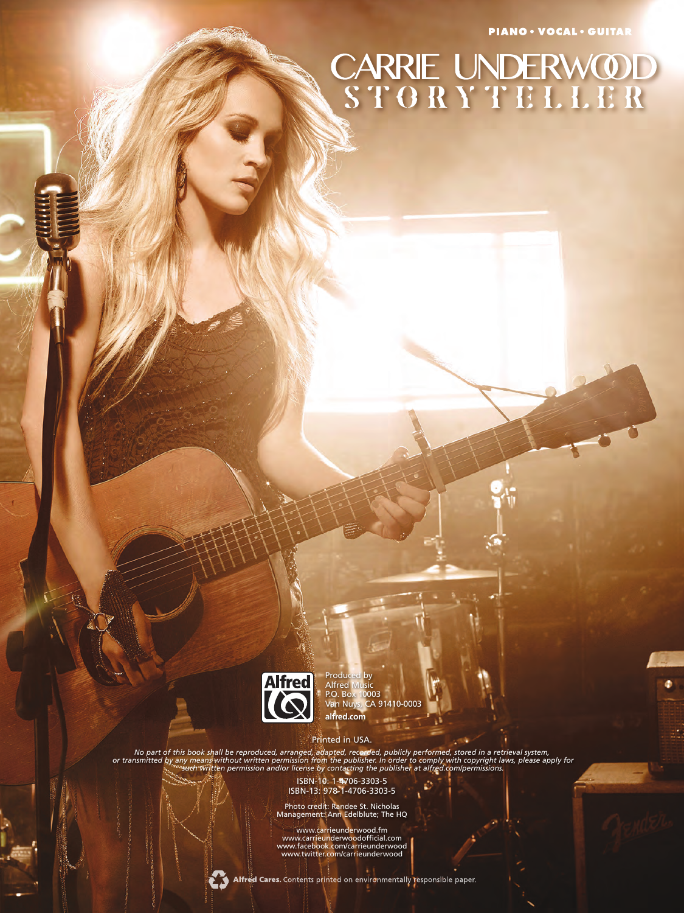**PIANO · VOCAL · GUITAR** 

# CARRIE UNDERWOOD



Produced by Alfred Music P.O. Box 10003 Van Nuys, CA 91410-0003 **alfred.com**

#### Printed in USA.

No part of this book shall be reproduced, arranged, adapted, recorded, publicly performed, stored in a retrieval system,<br>or transmitted by any means without written permission from the publisher. In order to comply with co

ISBN-10: 1-4706-3303-5 ISBN-13: 978-1-4706-3303-5

Photo credit: Randee St. Nicholas Management: Ann Edelblute; The HQ

www.carrieunderwood.fm www.carrieunderwoodofficial.com www.facebook.com/carrieunderwood www.twitter.com/carrieunderwood



Alfred Cares. Contents printed on environmentally responsible paper.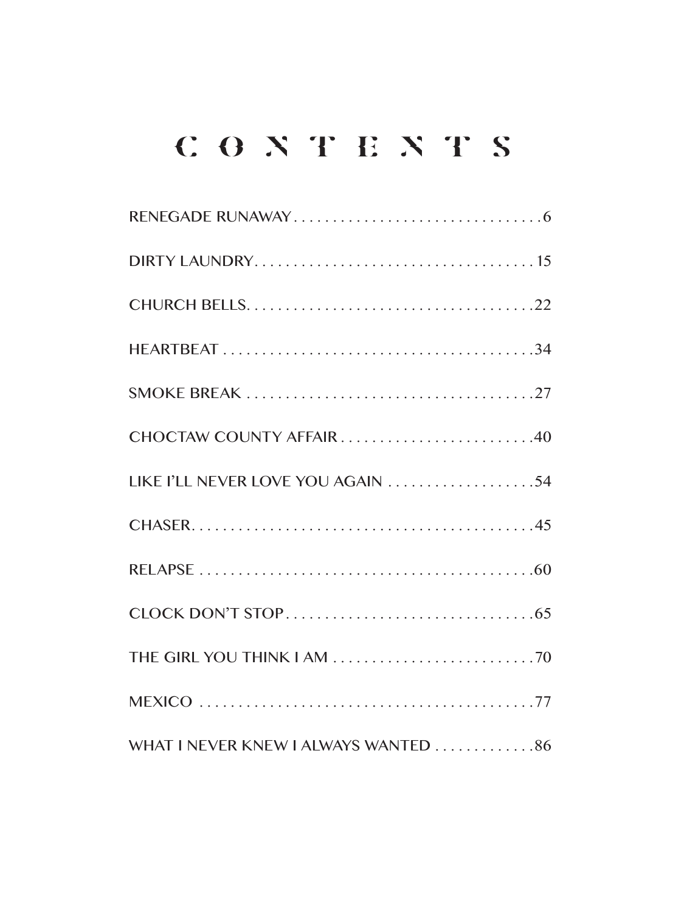# CONTENTS

| CHOCTAW COUNTY AFFAIR 40             |
|--------------------------------------|
| LIKE I'LL NEVER LOVE YOU AGAIN 54    |
|                                      |
|                                      |
|                                      |
|                                      |
|                                      |
| WHAT I NEVER KNEW I ALWAYS WANTED 86 |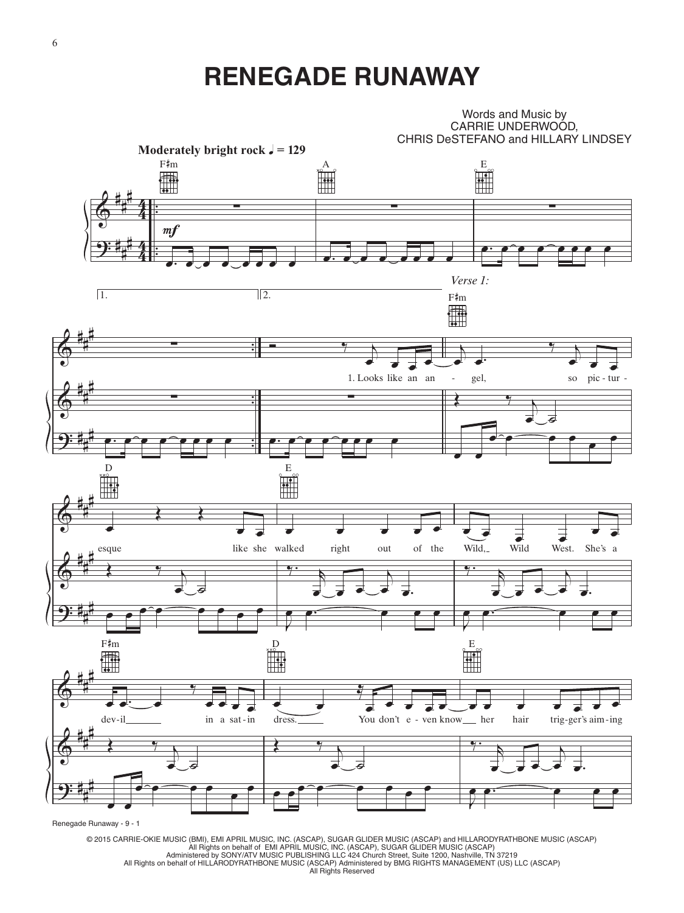## **RENEGADE RUNAWAY**

Words and Music by CARRIE UNDERWOOD, CHRIS DeSTEFANO and HILLARY LINDSEY



Renegade Runaway - 9 - 1

2015 CARRIE-OKIE MUSIC (BMI), EMI APRIL MUSIC, INC. (ASCAP), SUGAR GLIDER MUSIC (ASCAP) and HILLARODYRATHBONE MUSIC (ASCAP) هالكار All Rights on behalf of EMI APRIL MUSIC, INC. (ASCAP), SUGAR GLIDER MUSIC (ASCAP)<br>Administe